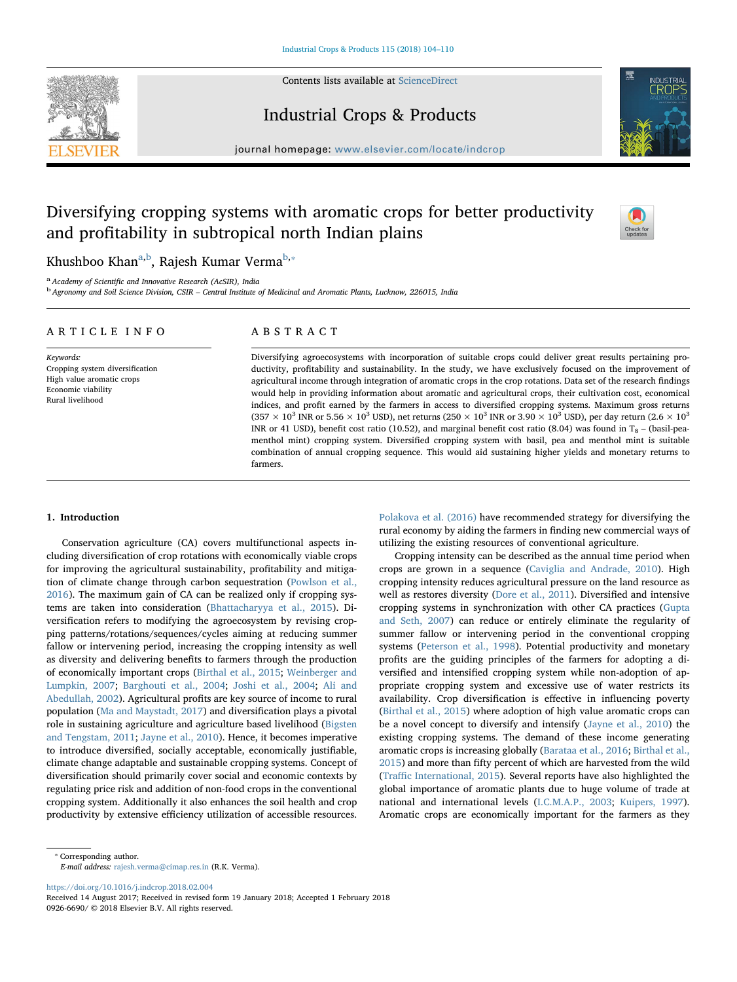Contents lists available at [ScienceDirect](http://www.sciencedirect.com/science/journal/09266690)







journal homepage: [www.elsevier.com/locate/indcrop](https://www.elsevier.com/locate/indcrop)

# Diversifying cropping systems with aromatic crops for better productivity and profitability in subtropical north Indian plains



Khushboo Khan<sup>a,b</sup>, Rajesh Kumar Verma<sup>b,</sup>\*

<sup>a</sup> Academy of Scientific and Innovative Research (AcSIR), India<br><sup>b</sup> Agronomy and Soil Science Division, CSIR – Central Institute of Medicinal and Aromatic Plants, Lucknow, 226015, India

| ARTICLE INFO                                                                                                        | ABSTRACT                                                                                                                                                                                                                                                                                                                                                                                                                                                                                                                                                                                                                                                                                                                                                                                                                                                                                                                                                                                                                                                                                                                                     |  |  |
|---------------------------------------------------------------------------------------------------------------------|----------------------------------------------------------------------------------------------------------------------------------------------------------------------------------------------------------------------------------------------------------------------------------------------------------------------------------------------------------------------------------------------------------------------------------------------------------------------------------------------------------------------------------------------------------------------------------------------------------------------------------------------------------------------------------------------------------------------------------------------------------------------------------------------------------------------------------------------------------------------------------------------------------------------------------------------------------------------------------------------------------------------------------------------------------------------------------------------------------------------------------------------|--|--|
| Keywords:<br>Cropping system diversification<br>High value aromatic crops<br>Economic viability<br>Rural livelihood | Diversifying agroecosystems with incorporation of suitable crops could deliver great results pertaining pro-<br>ductivity, profitability and sustainability. In the study, we have exclusively focused on the improvement of<br>agricultural income through integration of aromatic crops in the crop rotations. Data set of the research findings<br>would help in providing information about aromatic and agricultural crops, their cultivation cost, economical<br>indices, and profit earned by the farmers in access to diversified cropping systems. Maximum gross returns<br>$(357\times10^3$ INR or 5.56 $\times$ 10 <sup>3</sup> USD), net returns (250 $\times$ 10 <sup>3</sup> INR or 3.90 $\times$ 10 <sup>3</sup> USD), per day return (2.6 $\times$ 10 <sup>3</sup><br>INR or 41 USD), benefit cost ratio (10.52), and marginal benefit cost ratio (8.04) was found in $T_8$ – (basil-pea-<br>menthol mint) cropping system. Diversified cropping system with basil, pea and menthol mint is suitable<br>combination of annual cropping sequence. This would aid sustaining higher yields and monetary returns to<br>farmers. |  |  |

## 1. Introduction

Conservation agriculture (CA) covers multifunctional aspects including diversification of crop rotations with economically viable crops for improving the agricultural sustainability, profitability and mitigation of climate change through carbon sequestration (Powlson et al., 2016). The maximum gain of CA can be realized only if cropping systems are taken into consideration (Bhattacharyya et al., 2015). Diversification refers to modifying the agroecosystem by revising cropping patterns/rotations/sequences/cycles aiming at reducing summer fallow or intervening period, increasing the cropping intensity as well as diversity and delivering benefits to farmers through the production of economically important crops (Birthal et al., 2015; Weinberger and Lumpkin, 2007; Barghouti et al., 2004; Joshi et al., 2004; Ali and Abedullah, 2002). Agricultural profits are key source of income to rural population (Ma and Maystadt, 2017) and diversification plays a pivotal role in sustaining agriculture and agriculture based livelihood (Bigsten and Tengstam, 2011; Jayne et al., 2010). Hence, it becomes imperative to introduce diversified, socially acceptable, economically justifiable, climate change adaptable and sustainable cropping systems. Concept of diversification should primarily cover social and economic contexts by regulating price risk and addition of non-food crops in the conventional cropping system. Additionally it also enhances the soil health and crop productivity by extensive efficiency utilization of accessible resources.

Polakova et al. (2016) have recommended strategy for diversifying the rural economy by aiding the farmers in finding new commercial ways of utilizing the existing resources of conventional agriculture.

Cropping intensity can be described as the annual time period when crops are grown in a sequence (Caviglia and Andrade, 2010). High cropping intensity reduces agricultural pressure on the land resource as well as restores diversity (Dore et al., 2011). Diversified and intensive cropping systems in synchronization with other CA practices (Gupta and Seth, 2007) can reduce or entirely eliminate the regularity of summer fallow or intervening period in the conventional cropping systems (Peterson et al., 1998). Potential productivity and monetary profits are the guiding principles of the farmers for adopting a diversified and intensified cropping system while non-adoption of appropriate cropping system and excessive use of water restricts its availability. Crop diversification is effective in influencing poverty (Birthal et al., 2015) where adoption of high value aromatic crops can be a novel concept to diversify and intensify (Jayne et al., 2010) the existing cropping systems. The demand of these income generating aromatic crops is increasing globally (Barataa et al., 2016; Birthal et al., 2015) and more than fifty percent of which are harvested from the wild (Traffic International, 2015). Several reports have also highlighted the global importance of aromatic plants due to huge volume of trade at national and international levels (I.C.M.A.P., 2003; Kuipers, 1997). Aromatic crops are economically important for the farmers as they

E-mail address: [rajesh.verma@cimap.res.in](mailto:rajesh.verma@cimap.res.in) (R.K. Verma).

<https://doi.org/10.1016/j.indcrop.2018.02.004>

<sup>⁎</sup> Corresponding author.

Received 14 August 2017; Received in revised form 19 January 2018; Accepted 1 February 2018 0926-6690/ © 2018 Elsevier B.V. All rights reserved.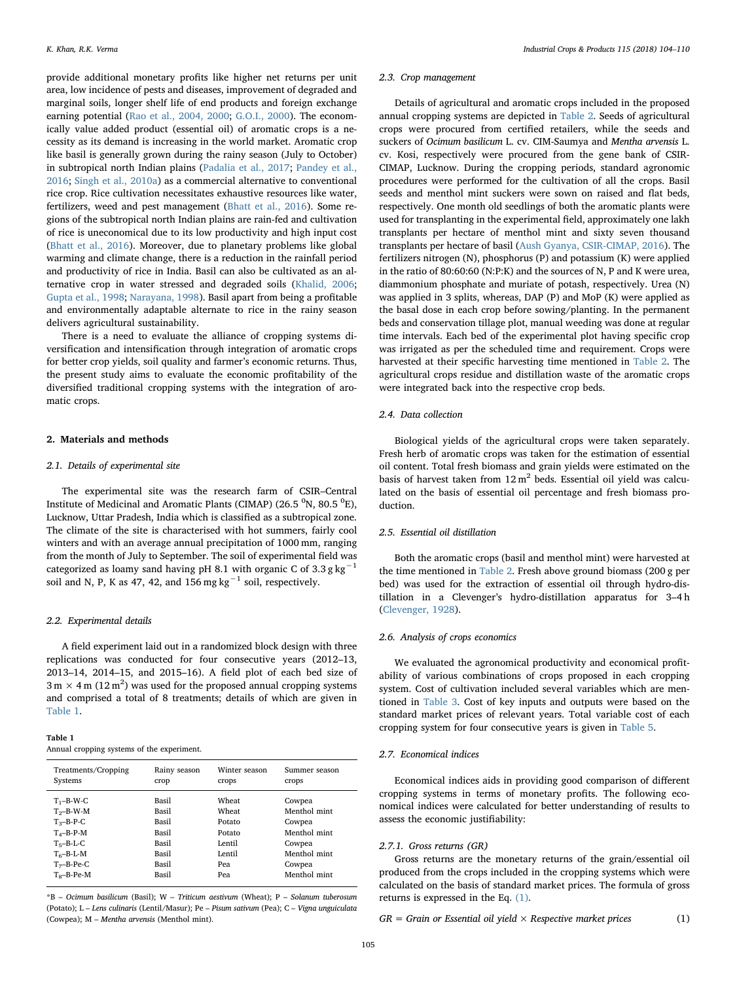provide additional monetary profits like higher net returns per unit area, low incidence of pests and diseases, improvement of degraded and marginal soils, longer shelf life of end products and foreign exchange earning potential (Rao et al., 2004, 2000; G.O.I., 2000). The economically value added product (essential oil) of aromatic crops is a necessity as its demand is increasing in the world market. Aromatic crop like basil is generally grown during the rainy season (July to October) in subtropical north Indian plains (Padalia et al., 2017; Pandey et al., 2016; Singh et al., 2010a) as a commercial alternative to conventional rice crop. Rice cultivation necessitates exhaustive resources like water, fertilizers, weed and pest management (Bhatt et al., 2016). Some regions of the subtropical north Indian plains are rain-fed and cultivation of rice is uneconomical due to its low productivity and high input cost (Bhatt et al., 2016). Moreover, due to planetary problems like global warming and climate change, there is a reduction in the rainfall period and productivity of rice in India. Basil can also be cultivated as an alternative crop in water stressed and degraded soils (Khalid, 2006; Gupta et al., 1998; Narayana, 1998). Basil apart from being a profitable and environmentally adaptable alternate to rice in the rainy season delivers agricultural sustainability.

There is a need to evaluate the alliance of cropping systems diversification and intensification through integration of aromatic crops for better crop yields, soil quality and farmer's economic returns. Thus, the present study aims to evaluate the economic profitability of the diversified traditional cropping systems with the integration of aromatic crops.

#### 2. Materials and methods

# 2.1. Details of experimental site

The experimental site was the research farm of CSIR–Central Institute of Medicinal and Aromatic Plants (CIMAP) (26.5  $^0$ N, 80.5  $^0$ E), Lucknow, Uttar Pradesh, India which is classified as a subtropical zone. The climate of the site is characterised with hot summers, fairly cool winters and with an average annual precipitation of 1000 mm, ranging from the month of July to September. The soil of experimental field was categorized as loamy sand having pH 8.1 with organic C of 3.3 g kg<sup> $-1$ </sup> soil and N, P, K as 47, 42, and  $156$  mg kg<sup>-1</sup> soil, respectively.

#### 2.2. Experimental details

A field experiment laid out in a randomized block design with three replications was conducted for four consecutive years (2012–13, 2013–14, 2014–15, and 2015–16). A field plot of each bed size of  $3 \text{ m} \times 4 \text{ m}$  (12 m<sup>2</sup>) was used for the proposed annual cropping systems and comprised a total of 8 treatments; details of which are given in Table 1.

| Table 1 |  |                                            |
|---------|--|--------------------------------------------|
|         |  | Annual cropping systems of the experiment. |

| Treatments/Cropping<br>Systems                                                                 | Rainy season<br>crop                      | Winter season<br>crops                       | Summer season<br>crops                           |
|------------------------------------------------------------------------------------------------|-------------------------------------------|----------------------------------------------|--------------------------------------------------|
| $T_1 - B - W - C$<br>$T_2 - B - W - M$<br>$T_3 - B - P - C$<br>$T4-B-P-M$<br>$T_5 - B - L - C$ | Basil<br>Basil<br>Basil<br>Basil<br>Basil | Wheat<br>Wheat<br>Potato<br>Potato<br>Lentil | Cowpea<br>Menthol mint<br>Cowpea<br>Menthol mint |
| $T_6 - B - L - M$<br>$T_7$ –B-Pe-C<br>$T_e-B-Pe-M$                                             | Basil<br>Basil<br>Basil                   | Lentil<br>Pea<br>Pea                         | Cowpea<br>Menthol mint<br>Cowpea<br>Menthol mint |

\*B – Ocimum basilicum (Basil); W – Triticum aestivum (Wheat); P – Solanum tuberosum (Potato); L – Lens culinaris (Lentil/Masur); Pe – Pisum sativum (Pea); C – Vigna unguiculata (Cowpea); M – Mentha arvensis (Menthol mint).

#### 2.3. Crop management

Details of agricultural and aromatic crops included in the proposed annual cropping systems are depicted in Table 2. Seeds of agricultural crops were procured from certified retailers, while the seeds and suckers of Ocimum basilicum L. cv. CIM-Saumya and Mentha arvensis L. cv. Kosi, respectively were procured from the gene bank of CSIR-CIMAP, Lucknow. During the cropping periods, standard agronomic procedures were performed for the cultivation of all the crops. Basil seeds and menthol mint suckers were sown on raised and flat beds, respectively. One month old seedlings of both the aromatic plants were used for transplanting in the experimental field, approximately one lakh transplants per hectare of menthol mint and sixty seven thousand transplants per hectare of basil (Aush Gyanya, CSIR-CIMAP, 2016). The fertilizers nitrogen (N), phosphorus (P) and potassium (K) were applied in the ratio of 80:60:60 (N:P:K) and the sources of N, P and K were urea, diammonium phosphate and muriate of potash, respectively. Urea (N) was applied in 3 splits, whereas, DAP (P) and MoP (K) were applied as the basal dose in each crop before sowing/planting. In the permanent beds and conservation tillage plot, manual weeding was done at regular time intervals. Each bed of the experimental plot having specific crop was irrigated as per the scheduled time and requirement. Crops were harvested at their specific harvesting time mentioned in Table 2. The agricultural crops residue and distillation waste of the aromatic crops were integrated back into the respective crop beds.

#### 2.4. Data collection

Biological yields of the agricultural crops were taken separately. Fresh herb of aromatic crops was taken for the estimation of essential oil content. Total fresh biomass and grain yields were estimated on the basis of harvest taken from  $12 \text{ m}^2$  beds. Essential oil yield was calculated on the basis of essential oil percentage and fresh biomass production.

#### 2.5. Essential oil distillation

Both the aromatic crops (basil and menthol mint) were harvested at the time mentioned in Table 2. Fresh above ground biomass (200 g per bed) was used for the extraction of essential oil through hydro-distillation in a Clevenger's hydro-distillation apparatus for 3–4 h (Clevenger, 1928).

#### 2.6. Analysis of crops economics

We evaluated the agronomical productivity and economical profitability of various combinations of crops proposed in each cropping system. Cost of cultivation included several variables which are mentioned in Table 3. Cost of key inputs and outputs were based on the standard market prices of relevant years. Total variable cost of each cropping system for four consecutive years is given in Table 5.

### 2.7. Economical indices

Economical indices aids in providing good comparison of different cropping systems in terms of monetary profits. The following economical indices were calculated for better understanding of results to assess the economic justifiability:

#### 2.7.1. Gross returns (GR)

Gross returns are the monetary returns of the grain/essential oil produced from the crops included in the cropping systems which were calculated on the basis of standard market prices. The formula of gross returns is expressed in the Eq. (1).

 $GR =$  Grain or Essential oil yield  $\times$  Respective market prices (1)